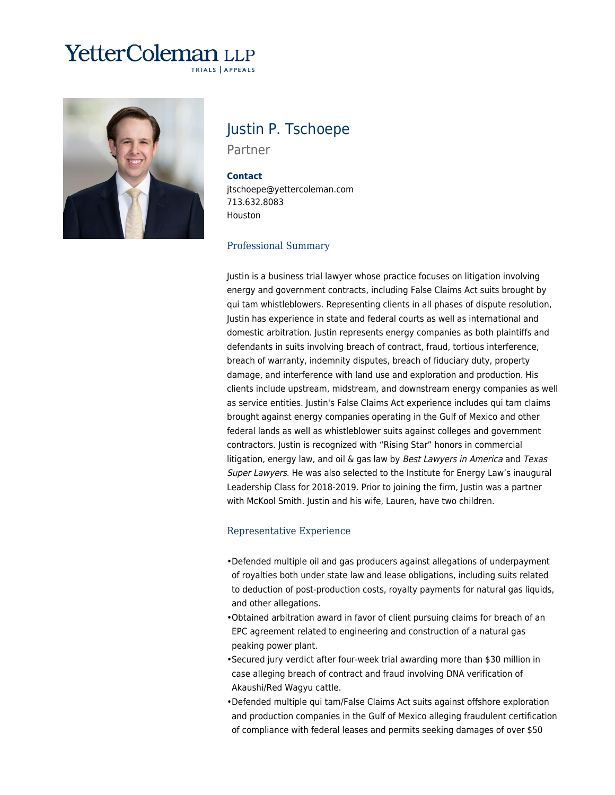# **YetterColeman** LLP TRIALS | APPEALS



# Justin P. Tschoepe

Partner

#### **Contact**

jtschoepe@yettercoleman.com 713.632.8083 Houston

#### Professional Summary

Justin is a business trial lawyer whose practice focuses on litigation involving energy and government contracts, including False Claims Act suits brought by qui tam whistleblowers. Representing clients in all phases of dispute resolution, Justin has experience in state and federal courts as well as international and domestic arbitration. Justin represents energy companies as both plaintiffs and defendants in suits involving breach of contract, fraud, tortious interference, breach of warranty, indemnity disputes, breach of fiduciary duty, property damage, and interference with land use and exploration and production. His clients include upstream, midstream, and downstream energy companies as well as service entities. Justin's False Claims Act experience includes qui tam claims brought against energy companies operating in the Gulf of Mexico and other federal lands as well as whistleblower suits against colleges and government contractors. Justin is recognized with "Rising Star" honors in commercial litigation, energy law, and oil  $\&$  gas law by Best Lawyers in America and Texas Super Lawyers. He was also selected to the Institute for Energy Law's inaugural Leadership Class for 2018-2019. Prior to joining the firm, Justin was a partner with McKool Smith. Justin and his wife, Lauren, have two children.

#### Representative Experience

- Defended multiple oil and gas producers against allegations of underpayment of royalties both under state law and lease obligations, including suits related to deduction of post-production costs, royalty payments for natural gas liquids, and other allegations.
- Obtained arbitration award in favor of client pursuing claims for breach of an EPC agreement related to engineering and construction of a natural gas peaking power plant.
- Secured jury verdict after four-week trial awarding more than \$30 million in case alleging breach of contract and fraud involving DNA verification of Akaushi/Red Wagyu cattle.
- Defended multiple qui tam/False Claims Act suits against offshore exploration and production companies in the Gulf of Mexico alleging fraudulent certification of compliance with federal leases and permits seeking damages of over \$50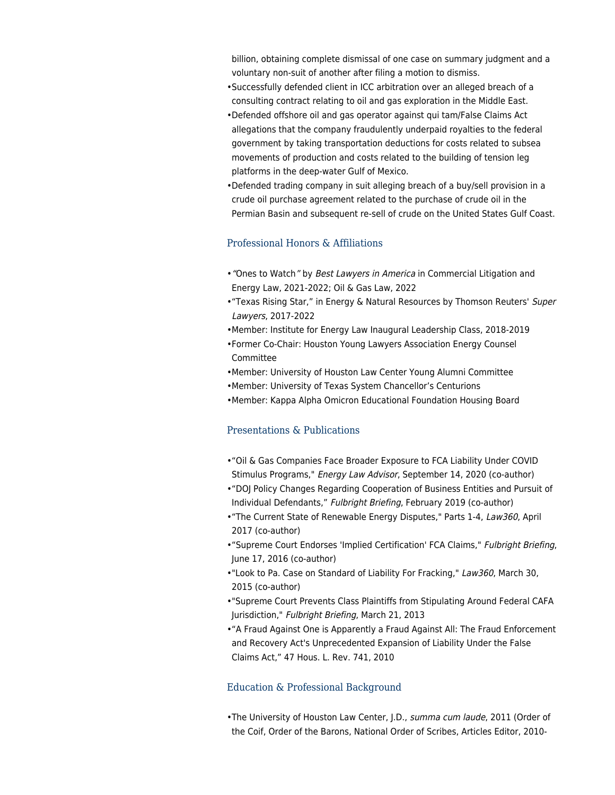billion, obtaining complete dismissal of one case on summary judgment and a voluntary non-suit of another after filing a motion to dismiss.

- Successfully defended client in ICC arbitration over an alleged breach of a consulting contract relating to oil and gas exploration in the Middle East.
- Defended offshore oil and gas operator against qui tam/False Claims Act allegations that the company fraudulently underpaid royalties to the federal government by taking transportation deductions for costs related to subsea movements of production and costs related to the building of tension leg platforms in the deep-water Gulf of Mexico.
- Defended trading company in suit alleging breach of a buy/sell provision in a crude oil purchase agreement related to the purchase of crude oil in the Permian Basin and subsequent re-sell of crude on the United States Gulf Coast.

## Professional Honors & Affiliations

- ["](https://www.yettercoleman.com/2022-best-lawyers-in-america-recognizes-17-yetter-coleman-lawyers-as-best-lawyers-and-ones-to-watch-in-12-areas-of-commercial-litigation/)[Ones to Watch](https://www.yettercoleman.com/2022-best-lawyers-in-america-recognizes-17-yetter-coleman-lawyers-as-best-lawyers-and-ones-to-watch-in-12-areas-of-commercial-litigation/)["](https://www.yettercoleman.com/2022-best-lawyers-in-america-recognizes-17-yetter-coleman-lawyers-as-best-lawyers-and-ones-to-watch-in-12-areas-of-commercial-litigation/) [by](https://www.yettercoleman.com/2022-best-lawyers-in-america-recognizes-17-yetter-coleman-lawyers-as-best-lawyers-and-ones-to-watch-in-12-areas-of-commercial-litigation/) *Best Lawyers in America* [in Commercial Litigation and](https://www.yettercoleman.com/2022-best-lawyers-in-america-recognizes-17-yetter-coleman-lawyers-as-best-lawyers-and-ones-to-watch-in-12-areas-of-commercial-litigation/) [Energy Law, 2021-2022; Oil & Gas Law, 2022](https://www.yettercoleman.com/2022-best-lawyers-in-america-recognizes-17-yetter-coleman-lawyers-as-best-lawyers-and-ones-to-watch-in-12-areas-of-commercial-litigation/)
- ["Texas Rising Star," in Energy & Natural Resources by Thomson Reuters'](https://www.yettercoleman.com/yetter-coleman-attorneys-recognized-as-super-lawyers-2022-texas-rising-stars/) [Super](https://www.yettercoleman.com/yetter-coleman-attorneys-recognized-as-super-lawyers-2022-texas-rising-stars/) [Lawyers](https://www.yettercoleman.com/yetter-coleman-attorneys-recognized-as-super-lawyers-2022-texas-rising-stars/)[, 2017-2022](https://www.yettercoleman.com/yetter-coleman-attorneys-recognized-as-super-lawyers-2022-texas-rising-stars/)
- •Member: Institute for Energy Law Inaugural Leadership Class, 2018-2019
- Former Co-Chair: Houston Young Lawyers Association Energy Counsel Committee
- •Member: University of Houston Law Center Young Alumni Committee
- •Member: University of Texas System Chancellor's Centurions
- •Member: Kappa Alpha Omicron Educational Foundation Housing Board

### Presentations & Publications

- "Oil & Gas Companies Face Broader Exposure to FCA Liability Under COVID Stimulus Programs," Energy Law Advisor, September 14, 2020 (co-author)
- "DOJ Policy Changes Regarding Cooperation of Business Entities and Pursuit of Individual Defendants," Fulbright Briefing, February 2019 (co-author)
- "The Current State of Renewable Energy Disputes," Parts 1-4, Law360, April 2017 (co-author)
- "Supreme Court Endorses 'Implied Certification' FCA Claims," Fulbright Briefing, June 17, 2016 (co-author)
- •"Look to Pa. Case on Standard of Liability For Fracking," Law360, March 30, 2015 (co-author)
- "Supreme Court Prevents Class Plaintiffs from Stipulating Around Federal CAFA Jurisdiction," Fulbright Briefing, March 21, 2013
- "A Fraud Against One is Apparently a Fraud Against All: The Fraud Enforcement and Recovery Act's Unprecedented Expansion of Liability Under the False Claims Act," 47 Hous. L. Rev. 741, 2010

#### Education & Professional Background

• The University of Houston Law Center, J.D., summa cum laude, 2011 (Order of the Coif, Order of the Barons, National Order of Scribes, Articles Editor, 2010